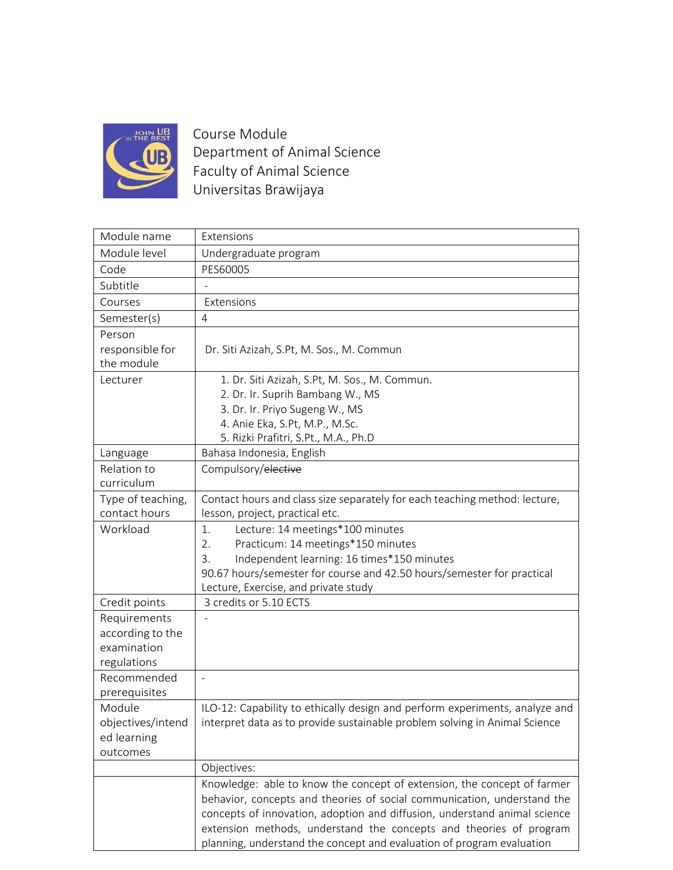

Course Module Department of Animal Science Faculty of Animal Science Universitas Brawijaya

| Module name                        | Extensions                                                                                                    |
|------------------------------------|---------------------------------------------------------------------------------------------------------------|
| Module level                       | Undergraduate program                                                                                         |
| Code                               | PES60005                                                                                                      |
| Subtitle                           |                                                                                                               |
| Courses                            | Extensions                                                                                                    |
| Semester(s)                        | 4                                                                                                             |
| Person                             |                                                                                                               |
| responsible for                    | Dr. Siti Azizah, S.Pt, M. Sos., M. Commun                                                                     |
| the module                         |                                                                                                               |
| Lecturer                           | 1. Dr. Siti Azizah, S.Pt, M. Sos., M. Commun.                                                                 |
|                                    | 2. Dr. Ir. Suprih Bambang W., MS                                                                              |
|                                    | 3. Dr. Ir. Priyo Sugeng W., MS                                                                                |
|                                    | 4. Anie Eka, S.Pt, M.P., M.Sc.                                                                                |
|                                    | 5. Rizki Prafitri, S.Pt., M.A., Ph.D                                                                          |
| Language                           | Bahasa Indonesia, English                                                                                     |
| Relation to<br>curriculum          | Compulsory/elective                                                                                           |
|                                    |                                                                                                               |
| Type of teaching,<br>contact hours | Contact hours and class size separately for each teaching method: lecture,<br>lesson, project, practical etc. |
| Workload                           | 1.                                                                                                            |
|                                    | Lecture: 14 meetings*100 minutes<br>Practicum: 14 meetings*150 minutes<br>2.                                  |
|                                    | Independent learning: 16 times*150 minutes<br>3.                                                              |
|                                    | 90.67 hours/semester for course and 42.50 hours/semester for practical                                        |
|                                    | Lecture, Exercise, and private study                                                                          |
| Credit points                      | 3 credits or 5.10 ECTS                                                                                        |
| Requirements                       |                                                                                                               |
| according to the                   |                                                                                                               |
| examination                        |                                                                                                               |
| regulations                        |                                                                                                               |
| Recommended                        | $\overline{\phantom{a}}$                                                                                      |
| prerequisites                      |                                                                                                               |
| Module                             | ILO-12: Capability to ethically design and perform experiments, analyze and                                   |
| objectives/intend                  | interpret data as to provide sustainable problem solving in Animal Science                                    |
| ed learning                        |                                                                                                               |
| outcomes                           |                                                                                                               |
|                                    | Objectives:                                                                                                   |
|                                    | Knowledge: able to know the concept of extension, the concept of farmer                                       |
|                                    | behavior, concepts and theories of social communication, understand the                                       |
|                                    | concepts of innovation, adoption and diffusion, understand animal science                                     |
|                                    | extension methods, understand the concepts and theories of program                                            |
|                                    | planning, understand the concept and evaluation of program evaluation                                         |